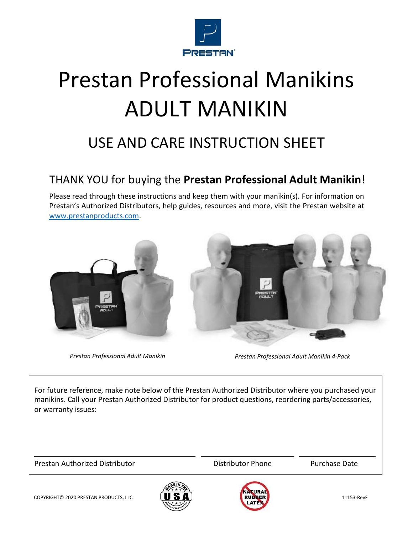

# Prestan Professional Manikins ADULT MANIKIN

# USE AND CARE INSTRUCTION SHEET

#### THANK YOU for buying the **Prestan Professional Adult Manikin**!

Please read through these instructions and keep them with your manikin(s). For information on Prestan's Authorized Distributors, help guides, resources and more, visit the Prestan website at [www.prestanproducts.com.](http://www.prestanproducts.com/)



*Prestan Professional Adult Manikin Prestan Professional Adult Manikin 4‐Pack*

For future reference, make note below of the Prestan Authorized Distributor where you purchased your manikins. Call your Prestan Authorized Distributor for product questions, reordering parts/accessories, or warranty issues:

Prestan Authorized Distributor **National Execution Control** Distributor Phone Purchase Date



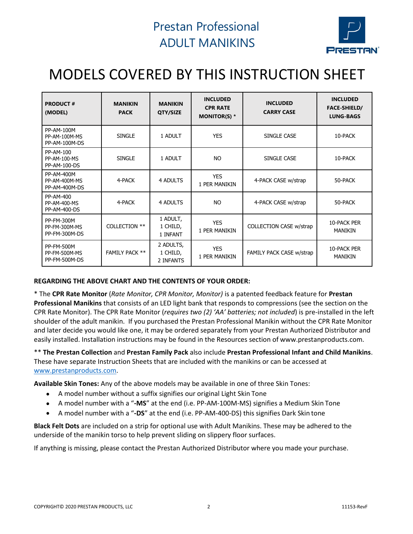

# MODELS COVERED BY THIS INSTRUCTION SHEET

| <b>PRODUCT#</b><br>(MODEL)                          | <b>MANIKIN</b><br><b>PACK</b> | <b>MANIKIN</b><br>QTY/SIZE         | <b>INCLUDED</b><br><b>CPR RATE</b><br><b>MONITOR(S) *</b> | <b>INCLUDED</b><br><b>CARRY CASE</b> | <b>INCLUDED</b><br><b>FACE-SHIELD/</b><br><b>LUNG-BAGS</b> |
|-----------------------------------------------------|-------------------------------|------------------------------------|-----------------------------------------------------------|--------------------------------------|------------------------------------------------------------|
| <b>PP-AM-100M</b><br>PP-AM-100M-MS<br>PP-AM-100M-DS | <b>SINGLE</b>                 | 1 ADULT                            | <b>YES</b>                                                | SINGLE CASE                          | 10-PACK                                                    |
| PP-AM-100<br>PP-AM-100-MS<br>PP-AM-100-DS           | <b>SINGLE</b>                 | 1 ADULT                            | NO.                                                       | SINGLE CASE                          | 10-PACK                                                    |
| <b>PP-AM-400M</b><br>PP-AM-400M-MS<br>PP-AM-400M-DS | 4-PACK                        | 4 ADULTS                           | <b>YES</b><br>1 PER MANIKIN                               | 4-PACK CASE w/strap                  | 50-PACK                                                    |
| PP-AM-400<br>PP-AM-400-MS<br><b>PP-AM-400-DS</b>    | 4-PACK                        | 4 ADULTS                           | <b>NO</b>                                                 | 4-PACK CASE w/strap                  | 50-PACK                                                    |
| <b>PP-FM-300M</b><br>PP-FM-300M-MS<br>PP-FM-300M-DS | COLLECTION **                 | 1 ADULT,<br>1 CHILD,<br>1 INFANT   | <b>YES</b><br>1 PER MANIKIN                               | COLLECTION CASE w/strap              | 10-PACK PER<br><b>MANIKIN</b>                              |
| <b>PP-FM-500M</b><br>PP-FM-500M-MS<br>PP-FM-500M-DS | <b>FAMILY PACK **</b>         | 2 ADULTS,<br>1 CHILD,<br>2 INFANTS | <b>YES</b><br>1 PER MANIKIN                               | FAMILY PACK CASE w/strap             | 10-PACK PER<br><b>MANIKIN</b>                              |

#### **REGARDING THE ABOVE CHART AND THE CONTENTS OF YOUR ORDER:**

\* The **CPR Rate Monitor** (*Rate Monitor, CPR Monitor, Monitor)* is a patented feedback feature for **Prestan Professional Manikins** that consists of an LED light bank that responds to compressions (see the section on the CPR Rate Monitor). The CPR Rate Monitor (*requires two (2) 'AA' batteries; not included*) is pre‐installed in the left shoulder of the adult manikin. If you purchased the Prestan Professional Manikin without the CPR Rate Monitor and later decide you would like one, it may be ordered separately from your Prestan Authorized Distributor and easily installed. Installation instructions may be found in the Resources section of [www.prestanproducts.com.](http://www.prestanproducts.com/)

\*\* **The Prestan Collection** and **Prestan Family Pack** also include **Prestan Professional Infant and Child Manikins**. These have separate Instruction Sheets that are included with the manikins or can be accessed at [www.prestanproducts.com.](http://www.prestanproducts.com/)

**Available Skin Tones:** Any of the above models may be available in one of three Skin Tones:

- A model number without a suffix signifies our original Light Skin Tone
- A model number with a "**‐MS**" at the end (i.e. PP‐AM‐100M‐MS) signifies a Medium Skin Tone
- A model number with a "**‐DS**" at the end (i.e. PP‐AM‐400‐DS) this signifies Dark Skin tone

**Black Felt Dots** are included on a strip for optional use with Adult Manikins. These may be adhered to the underside of the manikin torso to help prevent sliding on slippery floor surfaces.

If anything is missing, please contact the Prestan Authorized Distributor where you made your purchase.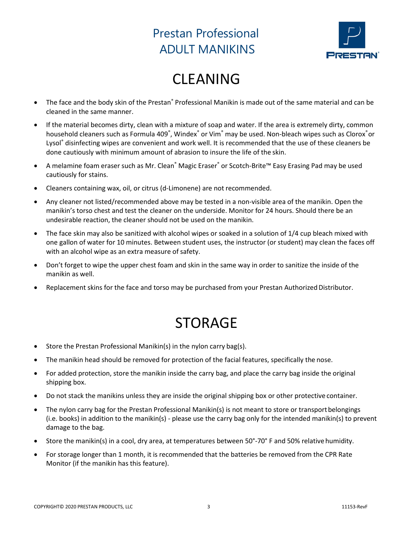

# CLEANING

- The face and the body skin of the Prestan® Professional Manikin is made out of the same material and can be cleaned in the same manner.
- If the material becomes dirty, clean with a mixture of soap and water. If the area is extremely dirty, common household cleaners such as Formula 409<sup>°</sup>, Windex<sup>°</sup> or Vim<sup>®</sup> may be used. Non-bleach wipes such as Clorox<sup>°</sup>or Lysol® disinfecting wipes are convenient and work well. It is recommended that the use of these cleaners be done cautiously with minimum amount of abrasion to insure the life of the skin.
- A melamine foam eraser such as Mr. Clean® Magic Eraser® or Scotch‐Brite™ Easy Erasing Pad may be used cautiously for stains.
- Cleaners containing wax, oil, or citrus (d‐Limonene) are not recommended.
- Any cleaner not listed/recommended above may be tested in a non‐visible area of the manikin. Open the manikin's torso chest and test the cleaner on the underside. Monitor for 24 hours. Should there be an undesirable reaction, the cleaner should not be used on the manikin.
- The face skin may also be sanitized with alcohol wipes or soaked in a solution of 1/4 cup bleach mixed with one gallon of water for 10 minutes. Between student uses, the instructor (or student) may clean the faces off with an alcohol wipe as an extra measure of safety.
- Don't forget to wipe the upper chest foam and skin in the same way in order to sanitize the inside of the manikin as well.
- Replacement skins for the face and torso may be purchased from your Prestan Authorized Distributor.

# STORAGE

- Store the Prestan Professional Manikin(s) in the nylon carry bag(s).
- The manikin head should be removed for protection of the facial features, specifically the nose.
- For added protection, store the manikin inside the carry bag, and place the carry bag inside the original shipping box.
- Do not stack the manikins unless they are inside the original shipping box or other protective container.
- The nylon carry bag for the Prestan Professional Manikin(s) is not meant to store or transport belongings (i.e. books) in addition to the manikin(s) ‐ please use the carry bag only for the intended manikin(s) to prevent damage to the bag.
- Store the manikin(s) in a cool, dry area, at temperatures between 50°-70° F and 50% relative humidity.
- For storage longer than 1 month, it is recommended that the batteries be removed from the CPR Rate Monitor (if the manikin has this feature).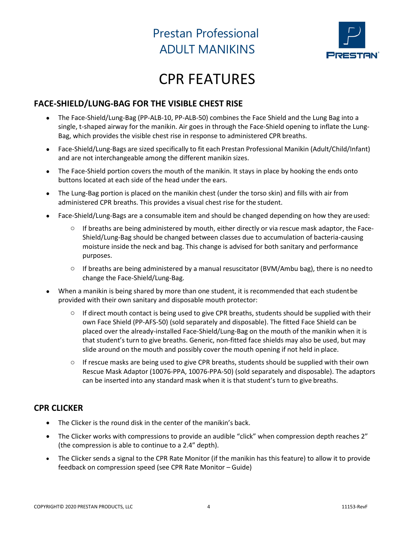

# CPR FEATURES

#### **FACE‐SHIELD/LUNG‐BAG FOR THE VISIBLE CHEST RISE**

- The Face‐Shield/Lung‐Bag (PP‐ALB‐10, PP‐ALB‐50) combines the Face Shield and the Lung Bag into a single, t-shaped airway for the manikin. Air goes in through the Face-Shield opening to inflate the Lung-Bag, which provides the visible chest rise in response to administered CPR breaths.
- Face‐Shield/Lung‐Bags are sized specifically to fit each Prestan Professional Manikin (Adult/Child/Infant) and are not interchangeable among the different manikin sizes.
- The Face-Shield portion covers the mouth of the manikin. It stays in place by hooking the ends onto buttons located at each side of the head under the ears.
- The Lung-Bag portion is placed on the manikin chest (under the torso skin) and fills with air from administered CPR breaths. This provides a visual chest rise for the student.
- Face-Shield/Lung-Bags are a consumable item and should be changed depending on how they are used:
	- If breaths are being administered by mouth, either directly or via rescue mask adaptor, the Face-Shield/Lung‐Bag should be changed between classes due to accumulation of bacteria‐causing moisture inside the neck and bag. This change is advised for both sanitary and performance purposes.
	- $\circ$  If breaths are being administered by a manual resuscitator (BVM/Ambu bag), there is no needto change the Face‐Shield/Lung‐Bag.
- When a manikin is being shared by more than one student, it is recommended that each studentbe provided with their own sanitary and disposable mouth protector:
	- $\circ$  If direct mouth contact is being used to give CPR breaths, students should be supplied with their own Face Shield (PP‐AFS‐50) (sold separately and disposable). The fitted Face Shield can be placed over the already‐installed Face‐Shield/Lung‐Bag on the mouth of the manikin when it is that student's turn to give breaths. Generic, non-fitted face shields may also be used, but may slide around on the mouth and possibly cover the mouth opening if not held in place.
	- $\circ$  If rescue masks are being used to give CPR breaths, students should be supplied with their own Rescue Mask Adaptor (10076‐PPA, 10076‐PPA‐50) (sold separately and disposable). The adaptors can be inserted into any standard mask when it is that student's turn to give breaths.

#### **CPR CLICKER**

- The Clicker is the round disk in the center of the manikin's back.
- The Clicker works with compressions to provide an audible "click" when compression depth reaches 2" (the compression is able to continue to a 2.4" depth).
- The Clicker sends a signal to the CPR Rate Monitor (if the manikin has this feature) to allow it to provide feedback on compression speed (see CPR Rate Monitor – Guide)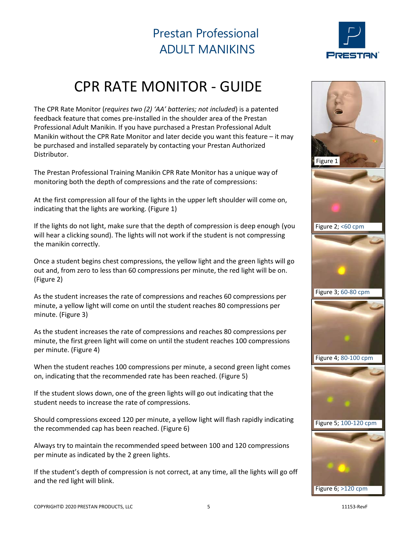

# CPR RATE MONITOR ‐ GUIDE

The CPR Rate Monitor (*requires two (2) 'AA' batteries; not included*) is a patented feedback feature that comes pre‐installed in the shoulder area of the Prestan Professional Adult Manikin. If you have purchased a Prestan Professional Adult Manikin without the CPR Rate Monitor and later decide you want this feature – it may be purchased and installed separately by contacting your Prestan Authorized Distributor.

The Prestan Professional Training Manikin CPR Rate Monitor has a unique way of monitoring both the depth of compressions and the rate of compressions:

At the first compression all four of the lights in the upper left shoulder will come on, indicating that the lights are working. (Figure 1)

If the lights do not light, make sure that the depth of compression is deep enough (you will hear a clicking sound). The lights will not work if the student is not compressing the manikin correctly.

Once a student begins chest compressions, the yellow light and the green lights will go out and, from zero to less than 60 compressions per minute, the red light will be on. (Figure 2)

As the student increases the rate of compressions and reaches 60 compressions per minute, a yellow light will come on until the student reaches 80 compressions per minute. (Figure 3)

As the student increases the rate of compressions and reaches 80 compressions per minute, the first green light will come on until the student reaches 100 compressions per minute. (Figure 4)

When the student reaches 100 compressions per minute, a second green light comes on, indicating that the recommended rate has been reached. (Figure 5)

If the student slows down, one of the green lights will go out indicating that the student needs to increase the rate of compressions.

Should compressions exceed 120 per minute, a yellow light will flash rapidly indicating the recommended cap has been reached. (Figure 6)

Always try to maintain the recommended speed between 100 and 120 compressions per minute as indicated by the 2 green lights.

If the student's depth of compression is not correct, at any time, all the lights will go off and the red light will blink.

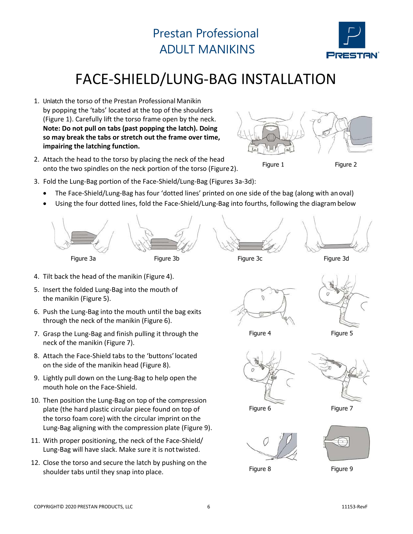

# FACE‐SHIELD/LUNG‐BAG INSTALLATION

- 1. Unlatch the torso of the Prestan Professional Manikin by popping the 'tabs' located at the top of the shoulders (Figure 1). Carefully lift the torso frame open by the neck. **Note: Do not pull on tabs (past popping the latch). Doing so may break the tabs or stretch out the frame over time, impairing the latching function.**
- 2. Attach the head to the torso by placing the neck of the head onto the two spindles on the neck portion of the torso (Figure2).



Figure 1 Figure 2

- 3. Fold the Lung‐Bag portion of the Face‐Shield/Lung‐Bag (Figures 3a‐3d):
	- The Face‐Shield/Lung‐Bag has four 'dotted lines' printed on one side of the bag (along with anoval)
	- Using the four dotted lines, fold the Face-Shield/Lung-Bag into fourths, following the diagram below



- 4. Tilt back the head of the manikin (Figure 4).
- 5. Insert the folded Lung‐Bag into the mouth of the manikin (Figure 5).
- 6. Push the Lung‐Bag into the mouth until the bag exits through the neck of the manikin (Figure 6).
- 7. Grasp the Lung‐Bag and finish pulling it through the neck of the manikin (Figure 7).
- 8. Attach the Face‐Shield tabs to the 'buttons'located on the side of the manikin head (Figure 8).
- 9. Lightly pull down on the Lung‐Bag to help open the mouth hole on the Face‐Shield.
- 10. Then position the Lung-Bag on top of the compression plate (the hard plastic circular piece found on top of the torso foam core) with the circular imprint on the Lung‐Bag aligning with the compression plate (Figure 9).
- 11. With proper positioning, the neck of the Face-Shield/ Lung‐Bag will have slack. Make sure it is nottwisted.
- 12. Close the torso and secure the latch by pushing on the shoulder tabs until they snap into place.







Figure 4 Figure 5





Figure 6 Figure 7



Figure 8 Figure 9

 $\bigodot$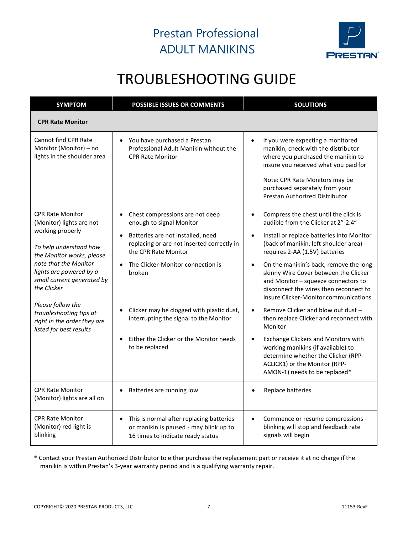

# TROUBLESHOOTING GUIDE

| <b>SYMPTOM</b>                                                                                                                                                                                                                                                                                                                            | <b>POSSIBLE ISSUES OR COMMENTS</b>                                                                                                   | <b>SOLUTIONS</b>                                                                                                                                                                                                                                                           |  |
|-------------------------------------------------------------------------------------------------------------------------------------------------------------------------------------------------------------------------------------------------------------------------------------------------------------------------------------------|--------------------------------------------------------------------------------------------------------------------------------------|----------------------------------------------------------------------------------------------------------------------------------------------------------------------------------------------------------------------------------------------------------------------------|--|
| <b>CPR Rate Monitor</b>                                                                                                                                                                                                                                                                                                                   |                                                                                                                                      |                                                                                                                                                                                                                                                                            |  |
| Cannot find CPR Rate<br>Monitor (Monitor) - no<br>lights in the shoulder area                                                                                                                                                                                                                                                             | You have purchased a Prestan<br>$\bullet$<br>Professional Adult Manikin without the<br><b>CPR Rate Monitor</b>                       | If you were expecting a monitored<br>$\bullet$<br>manikin, check with the distributor<br>where you purchased the manikin to<br>insure you received what you paid for<br>Note: CPR Rate Monitors may be<br>purchased separately from your<br>Prestan Authorized Distributor |  |
| <b>CPR Rate Monitor</b><br>(Monitor) lights are not<br>working properly<br>To help understand how<br>the Monitor works, please<br>note that the Monitor<br>lights are powered by a<br>small current generated by<br>the Clicker<br>Please follow the<br>troubleshooting tips at<br>right in the order they are<br>listed for best results | Chest compressions are not deep<br>$\bullet$<br>enough to signal Monitor                                                             | Compress the chest until the click is<br>$\bullet$<br>audible from the Clicker at 2"-2.4"                                                                                                                                                                                  |  |
|                                                                                                                                                                                                                                                                                                                                           | Batteries are not installed, need<br>$\bullet$<br>replacing or are not inserted correctly in<br>the CPR Rate Monitor                 | Install or replace batteries into Monitor<br>(back of manikin, left shoulder area) -<br>requires 2-AA (1.5V) batteries                                                                                                                                                     |  |
|                                                                                                                                                                                                                                                                                                                                           | The Clicker-Monitor connection is<br>broken                                                                                          | On the manikin's back, remove the long<br>skinny Wire Cover between the Clicker<br>and Monitor - squeeze connectors to<br>disconnect the wires then reconnect to<br>insure Clicker-Monitor communications                                                                  |  |
|                                                                                                                                                                                                                                                                                                                                           | Clicker may be clogged with plastic dust,<br>interrupting the signal to the Monitor                                                  | Remove Clicker and blow out dust -<br>then replace Clicker and reconnect with<br>Monitor                                                                                                                                                                                   |  |
|                                                                                                                                                                                                                                                                                                                                           | Either the Clicker or the Monitor needs<br>to be replaced                                                                            | Exchange Clickers and Monitors with<br>working manikins (if available) to<br>determine whether the Clicker (RPP-<br>ACLICK1) or the Monitor (RPP-<br>AMON-1) needs to be replaced*                                                                                         |  |
| <b>CPR Rate Monitor</b><br>(Monitor) lights are all on                                                                                                                                                                                                                                                                                    | Batteries are running low<br>$\bullet$                                                                                               | Replace batteries                                                                                                                                                                                                                                                          |  |
| <b>CPR Rate Monitor</b><br>(Monitor) red light is<br>blinking                                                                                                                                                                                                                                                                             | This is normal after replacing batteries<br>$\bullet$<br>or manikin is paused - may blink up to<br>16 times to indicate ready status | $\bullet$<br>Commence or resume compressions -<br>blinking will stop and feedback rate<br>signals will begin                                                                                                                                                               |  |

\* Contact your Prestan Authorized Distributor to either purchase the replacement part or receive it at no charge if the manikin is within Prestan's 3‐year warranty period and is a qualifying warranty repair.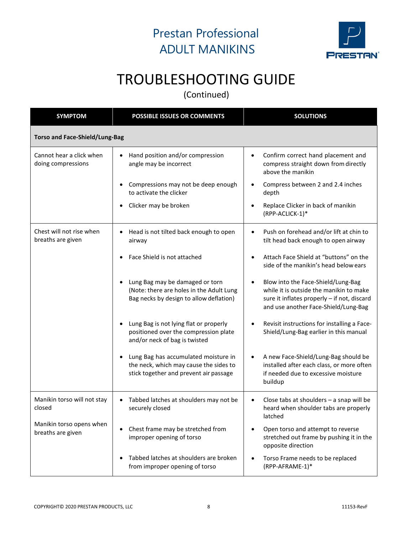

# TROUBLESHOOTING GUIDE

(Continued)

| <b>SYMPTOM</b>                                 | <b>POSSIBLE ISSUES OR COMMENTS</b>                                                                                                    | <b>SOLUTIONS</b>                                                                                                                                                     |  |  |  |
|------------------------------------------------|---------------------------------------------------------------------------------------------------------------------------------------|----------------------------------------------------------------------------------------------------------------------------------------------------------------------|--|--|--|
| <b>Torso and Face-Shield/Lung-Bag</b>          |                                                                                                                                       |                                                                                                                                                                      |  |  |  |
| Cannot hear a click when<br>doing compressions | Hand position and/or compression<br>angle may be incorrect                                                                            | Confirm correct hand placement and<br>compress straight down from directly<br>above the manikin                                                                      |  |  |  |
|                                                | Compressions may not be deep enough<br>to activate the clicker                                                                        | Compress between 2 and 2.4 inches<br>depth                                                                                                                           |  |  |  |
|                                                | Clicker may be broken<br>$\bullet$                                                                                                    | Replace Clicker in back of manikin<br>(RPP-ACLICK-1)*                                                                                                                |  |  |  |
| Chest will not rise when<br>breaths are given  | Head is not tilted back enough to open<br>$\bullet$<br>airway                                                                         | Push on forehead and/or lift at chin to<br>$\bullet$<br>tilt head back enough to open airway                                                                         |  |  |  |
|                                                | Face Shield is not attached                                                                                                           | Attach Face Shield at "buttons" on the<br>side of the manikin's head below ears                                                                                      |  |  |  |
|                                                | Lung Bag may be damaged or torn<br>(Note: there are holes in the Adult Lung<br>Bag necks by design to allow deflation)                | Blow into the Face-Shield/Lung-Bag<br>while it is outside the manikin to make<br>sure it inflates properly - if not, discard<br>and use another Face-Shield/Lung-Bag |  |  |  |
|                                                | Lung Bag is not lying flat or properly<br>$\bullet$<br>positioned over the compression plate<br>and/or neck of bag is twisted         | Revisit instructions for installing a Face-<br>Shield/Lung-Bag earlier in this manual                                                                                |  |  |  |
|                                                | Lung Bag has accumulated moisture in<br>$\bullet$<br>the neck, which may cause the sides to<br>stick together and prevent air passage | A new Face-Shield/Lung-Bag should be<br>installed after each class, or more often<br>if needed due to excessive moisture<br>buildup                                  |  |  |  |
| Manikin torso will not stay<br>closed          | Tabbed latches at shoulders may not be<br>$\bullet$<br>securely closed                                                                | Close tabs at shoulders - a snap will be<br>heard when shoulder tabs are properly<br>latched                                                                         |  |  |  |
| Manikin torso opens when<br>breaths are given  | Chest frame may be stretched from<br>$\bullet$<br>improper opening of torso                                                           | Open torso and attempt to reverse<br>stretched out frame by pushing it in the<br>opposite direction                                                                  |  |  |  |
|                                                | Tabbed latches at shoulders are broken<br>from improper opening of torso                                                              | Torso Frame needs to be replaced<br>(RPP-AFRAME-1)*                                                                                                                  |  |  |  |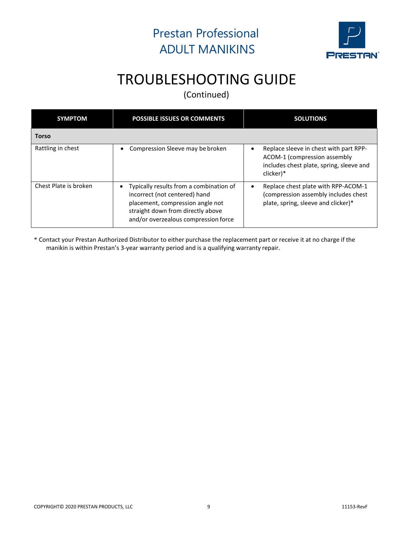

# TROUBLESHOOTING GUIDE

(Continued)

| <b>SYMPTOM</b>        | <b>POSSIBLE ISSUES OR COMMENTS</b>                                                                                                                                                             | <b>SOLUTIONS</b>                                                                                                                |  |
|-----------------------|------------------------------------------------------------------------------------------------------------------------------------------------------------------------------------------------|---------------------------------------------------------------------------------------------------------------------------------|--|
| <b>Torso</b>          |                                                                                                                                                                                                |                                                                                                                                 |  |
| Rattling in chest     | Compression Sleeve may be broken                                                                                                                                                               | Replace sleeve in chest with part RPP-<br>ACOM-1 (compression assembly<br>includes chest plate, spring, sleeve and<br>clicker)* |  |
| Chest Plate is broken | Typically results from a combination of<br>٠<br>incorrect (not centered) hand<br>placement, compression angle not<br>straight down from directly above<br>and/or overzealous compression force | Replace chest plate with RPP-ACOM-1<br>$\bullet$<br>(compression assembly includes chest<br>plate, spring, sleeve and clicker)* |  |

\* Contact your Prestan Authorized Distributor to either purchase the replacement part or receive it at no charge if the manikin is within Prestan's 3‐year warranty period and is a qualifying warranty repair.